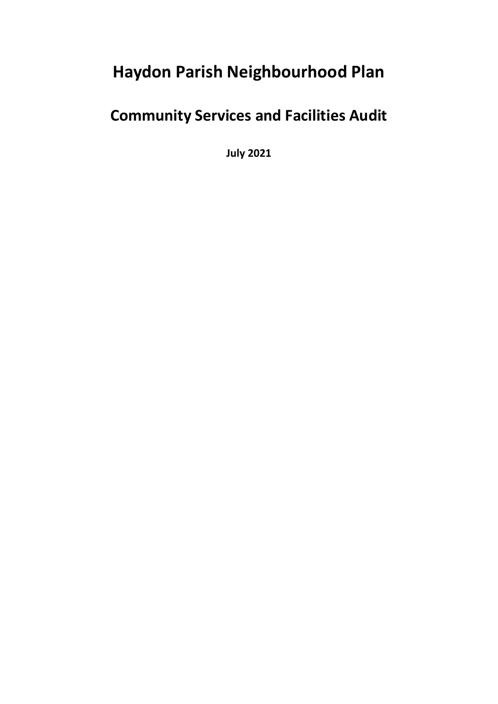# **Haydon Parish Neighbourhood Plan**

# **Community Services and Facilities Audit**

**July 2021**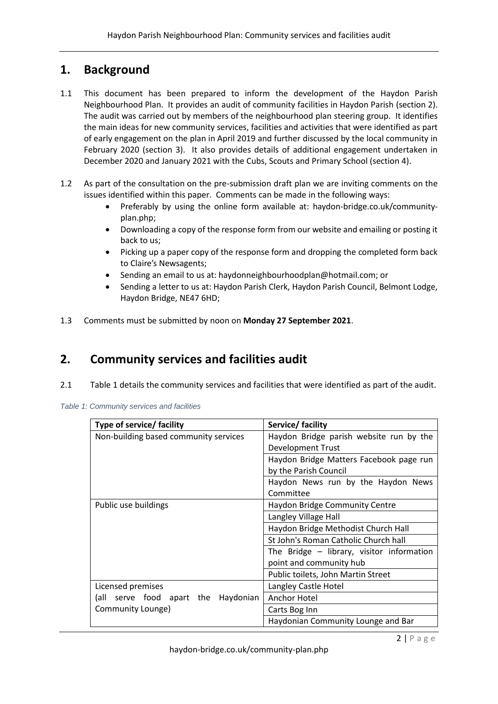## **1. Background**

- 1.1 This document has been prepared to inform the development of the Haydon Parish Neighbourhood Plan. It provides an audit of community facilities in Haydon Parish (section 2). The audit was carried out by members of the neighbourhood plan steering group. It identifies the main ideas for new community services, facilities and activities that were identified as part of early engagement on the plan in April 2019 and further discussed by the local community in February 2020 (section 3). It also provides details of additional engagement undertaken in December 2020 and January 2021 with the Cubs, Scouts and Primary School (section 4).
- 1.2 As part of the consultation on the pre-submission draft plan we are inviting comments on the issues identified within this paper. Comments can be made in the following ways:
	- Preferably by using the online form available at: haydon-bridge.co.uk/communityplan.php;
	- Downloading a copy of the response form from our website and emailing or posting it back to us;
	- Picking up a paper copy of the response form and dropping the completed form back to Claire's Newsagents;
	- Sending an email to us at: haydonneighbourhoodplan@hotmail.com; or
	- Sending a letter to us at: Haydon Parish Clerk, Haydon Parish Council, Belmont Lodge, Haydon Bridge, NE47 6HD;
- 1.3 Comments must be submitted by noon on **Monday 27 September 2021**.

## **2. Community services and facilities audit**

2.1 Table 1 details the community services and facilities that were identified as part of the audit.

| Type of service/ facility             | Service/ facility                         |
|---------------------------------------|-------------------------------------------|
| Non-building based community services | Haydon Bridge parish website run by the   |
|                                       | Development Trust                         |
|                                       | Haydon Bridge Matters Facebook page run   |
|                                       | by the Parish Council                     |
|                                       | Haydon News run by the Haydon News        |
|                                       | Committee                                 |
| Public use buildings                  | <b>Haydon Bridge Community Centre</b>     |
|                                       | Langley Village Hall                      |
|                                       | Haydon Bridge Methodist Church Hall       |
|                                       | St John's Roman Catholic Church hall      |
|                                       | The Bridge - library, visitor information |
|                                       | point and community hub                   |
|                                       | Public toilets, John Martin Street        |
| Licensed premises                     | Langley Castle Hotel                      |
| (all serve food apart the Haydonian   | Anchor Hotel                              |
| Community Lounge)                     | Carts Bog Inn                             |
|                                       | Haydonian Community Lounge and Bar        |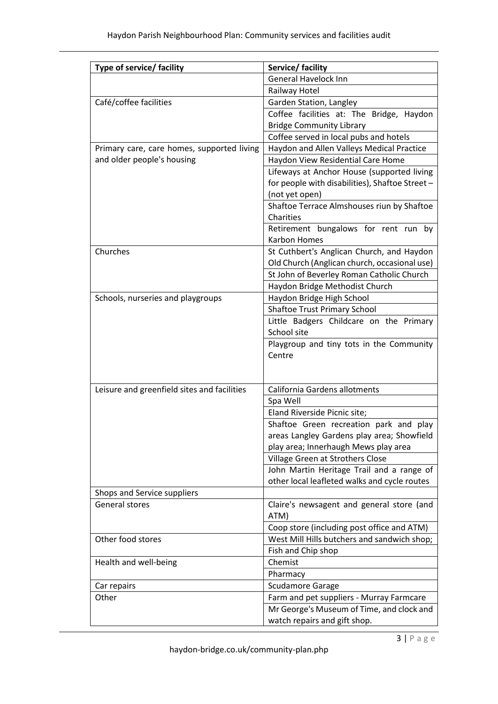| Type of service/ facility                   | Service/ facility                                                                         |
|---------------------------------------------|-------------------------------------------------------------------------------------------|
|                                             | <b>General Havelock Inn</b>                                                               |
|                                             | Railway Hotel                                                                             |
| Café/coffee facilities                      | Garden Station, Langley                                                                   |
|                                             | Coffee facilities at: The Bridge, Haydon                                                  |
|                                             | <b>Bridge Community Library</b>                                                           |
|                                             | Coffee served in local pubs and hotels                                                    |
| Primary care, care homes, supported living  | Haydon and Allen Valleys Medical Practice                                                 |
| and older people's housing                  | Haydon View Residential Care Home                                                         |
|                                             | Lifeways at Anchor House (supported living                                                |
|                                             | for people with disabilities), Shaftoe Street -                                           |
|                                             | (not yet open)                                                                            |
|                                             | Shaftoe Terrace Almshouses riun by Shaftoe                                                |
|                                             | Charities                                                                                 |
|                                             | Retirement bungalows for rent run by<br><b>Karbon Homes</b>                               |
| Churches                                    | St Cuthbert's Anglican Church, and Haydon<br>Old Church (Anglican church, occasional use) |
|                                             | St John of Beverley Roman Catholic Church                                                 |
|                                             | Haydon Bridge Methodist Church                                                            |
| Schools, nurseries and playgroups           | Haydon Bridge High School                                                                 |
|                                             | <b>Shaftoe Trust Primary School</b>                                                       |
|                                             | Little Badgers Childcare on the Primary                                                   |
|                                             | School site                                                                               |
|                                             | Playgroup and tiny tots in the Community<br>Centre                                        |
|                                             |                                                                                           |
| Leisure and greenfield sites and facilities | California Gardens allotments                                                             |
|                                             | Spa Well                                                                                  |
|                                             | Eland Riverside Picnic site;                                                              |
|                                             | Shaftoe Green recreation park and play                                                    |
|                                             | areas Langley Gardens play area; Showfield                                                |
|                                             | play area; Innerhaugh Mews play area                                                      |
|                                             | Village Green at Strothers Close                                                          |
|                                             | John Martin Heritage Trail and a range of<br>other local leafleted walks and cycle routes |
| Shops and Service suppliers                 |                                                                                           |
| General stores                              | Claire's newsagent and general store (and                                                 |
|                                             | ATM)                                                                                      |
|                                             | Coop store (including post office and ATM)                                                |
| Other food stores                           | West Mill Hills butchers and sandwich shop;                                               |
|                                             | Fish and Chip shop                                                                        |
| Health and well-being                       | Chemist                                                                                   |
|                                             | Pharmacy                                                                                  |
| Car repairs                                 | <b>Scudamore Garage</b>                                                                   |
| Other                                       | Farm and pet suppliers - Murray Farmcare                                                  |
|                                             | Mr George's Museum of Time, and clock and                                                 |
|                                             | watch repairs and gift shop.                                                              |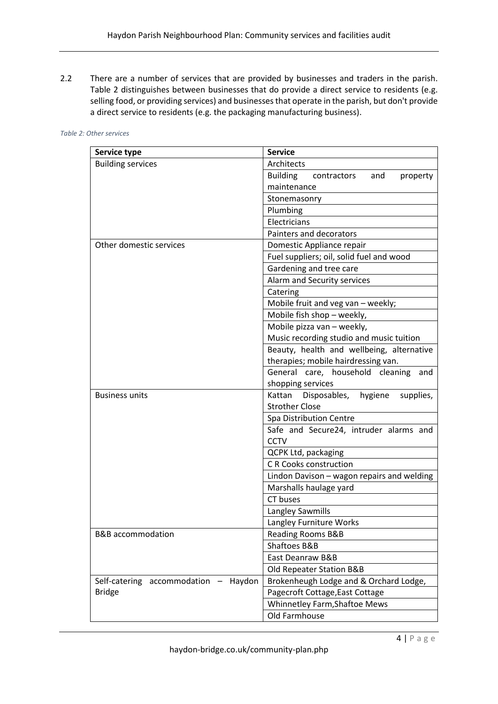2.2 There are a number of services that are provided by businesses and traders in the parish. Table 2 distinguishes between businesses that do provide a direct service to residents (e.g. selling food, or providing services) and businesses that operate in the parish, but don't provide a direct service to residents (e.g. the packaging manufacturing business).

| Service type                         | <b>Service</b>                                    |
|--------------------------------------|---------------------------------------------------|
| <b>Building services</b>             | Architects                                        |
|                                      | <b>Building</b><br>contractors<br>and<br>property |
|                                      | maintenance                                       |
|                                      | Stonemasonry                                      |
|                                      | Plumbing                                          |
|                                      | Electricians                                      |
|                                      | Painters and decorators                           |
| Other domestic services              | Domestic Appliance repair                         |
|                                      | Fuel suppliers; oil, solid fuel and wood          |
|                                      | Gardening and tree care                           |
|                                      | Alarm and Security services                       |
|                                      | Catering                                          |
|                                      | Mobile fruit and veg van - weekly;                |
|                                      | Mobile fish shop - weekly,                        |
|                                      | Mobile pizza van - weekly,                        |
|                                      | Music recording studio and music tuition          |
|                                      | Beauty, health and wellbeing, alternative         |
|                                      | therapies; mobile hairdressing van.               |
|                                      | General care, household cleaning<br>and           |
|                                      | shopping services                                 |
| <b>Business units</b>                | Kattan<br>Disposables, hygiene<br>supplies,       |
|                                      | <b>Strother Close</b>                             |
|                                      | Spa Distribution Centre                           |
|                                      | Safe and Secure24, intruder alarms and            |
|                                      | <b>CCTV</b>                                       |
|                                      | <b>QCPK Ltd, packaging</b>                        |
|                                      | <b>C R Cooks construction</b>                     |
|                                      | Lindon Davison - wagon repairs and welding        |
|                                      | Marshalls haulage yard                            |
|                                      | CT buses                                          |
|                                      | Langley Sawmills                                  |
|                                      | Langley Furniture Works                           |
| B&B accommodation                    | <b>Reading Rooms B&amp;B</b>                      |
|                                      | <b>Shaftoes B&amp;B</b>                           |
|                                      | East Deanraw B&B                                  |
|                                      | Old Repeater Station B&B                          |
| Self-catering accommodation - Haydon | Brokenheugh Lodge and & Orchard Lodge,            |
| <b>Bridge</b>                        | Pagecroft Cottage, East Cottage                   |
|                                      | Whinnetley Farm, Shaftoe Mews                     |
|                                      | Old Farmhouse                                     |

*Table 2: Other services*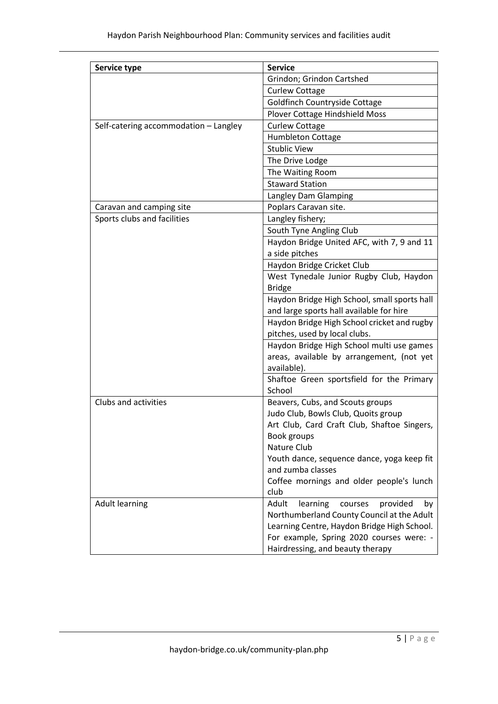| Service type                          | <b>Service</b>                                             |
|---------------------------------------|------------------------------------------------------------|
|                                       | Grindon; Grindon Cartshed                                  |
|                                       | <b>Curlew Cottage</b>                                      |
|                                       | Goldfinch Countryside Cottage                              |
|                                       | Plover Cottage Hindshield Moss                             |
| Self-catering accommodation - Langley | <b>Curlew Cottage</b>                                      |
|                                       | <b>Humbleton Cottage</b>                                   |
|                                       | <b>Stublic View</b>                                        |
|                                       | The Drive Lodge                                            |
|                                       | The Waiting Room                                           |
|                                       | <b>Staward Station</b>                                     |
|                                       | Langley Dam Glamping                                       |
| Caravan and camping site              | Poplars Caravan site.                                      |
| Sports clubs and facilities           | Langley fishery;                                           |
|                                       | South Tyne Angling Club                                    |
|                                       | Haydon Bridge United AFC, with 7, 9 and 11                 |
|                                       | a side pitches                                             |
|                                       | Haydon Bridge Cricket Club                                 |
|                                       | West Tynedale Junior Rugby Club, Haydon                    |
|                                       | <b>Bridge</b>                                              |
|                                       | Haydon Bridge High School, small sports hall               |
|                                       | and large sports hall available for hire                   |
|                                       | Haydon Bridge High School cricket and rugby                |
|                                       | pitches, used by local clubs.                              |
|                                       | Haydon Bridge High School multi use games                  |
|                                       | areas, available by arrangement, (not yet                  |
|                                       | available).                                                |
|                                       | Shaftoe Green sportsfield for the Primary                  |
|                                       | School                                                     |
| Clubs and activities                  | Beavers, Cubs, and Scouts groups                           |
|                                       | Judo Club, Bowls Club, Quoits group                        |
|                                       | Art Club, Card Craft Club, Shaftoe Singers,<br>Book groups |
|                                       | Nature Club                                                |
|                                       | Youth dance, sequence dance, yoga keep fit                 |
|                                       | and zumba classes                                          |
|                                       | Coffee mornings and older people's lunch                   |
|                                       | club                                                       |
| <b>Adult learning</b>                 | Adult<br>learning<br>provided<br>courses<br>by             |
|                                       | Northumberland County Council at the Adult                 |
|                                       | Learning Centre, Haydon Bridge High School.                |
|                                       | For example, Spring 2020 courses were: -                   |
|                                       | Hairdressing, and beauty therapy                           |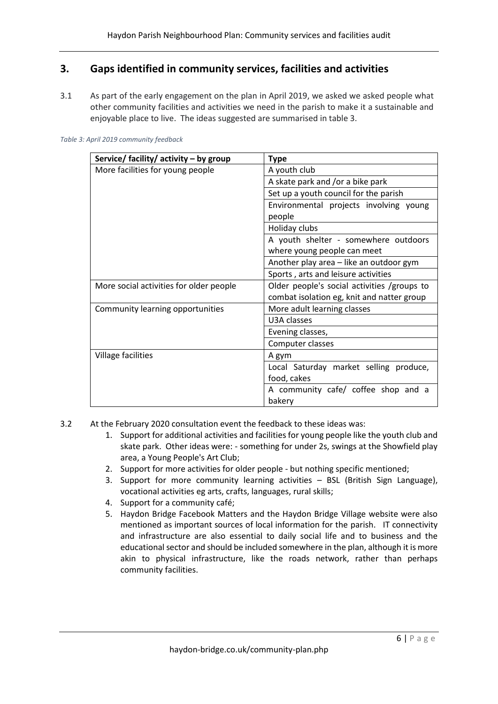## **3. Gaps identified in community services, facilities and activities**

3.1 As part of the early engagement on the plan in April 2019, we asked we asked people what other community facilities and activities we need in the parish to make it a sustainable and enjoyable place to live. The ideas suggested are summarised in table 3.

| Service/ facility/ activity - by group  | <b>Type</b>                                 |
|-----------------------------------------|---------------------------------------------|
| More facilities for young people        | A youth club                                |
|                                         | A skate park and /or a bike park            |
|                                         | Set up a youth council for the parish       |
|                                         | Environmental projects involving young      |
|                                         | people                                      |
|                                         | Holiday clubs                               |
|                                         | A youth shelter - somewhere outdoors        |
|                                         | where young people can meet                 |
|                                         | Another play area - like an outdoor gym     |
|                                         | Sports, arts and leisure activities         |
| More social activities for older people | Older people's social activities /groups to |
|                                         | combat isolation eg, knit and natter group  |
| Community learning opportunities        | More adult learning classes                 |
|                                         | U3A classes                                 |
|                                         | Evening classes,                            |
|                                         | Computer classes                            |
| Village facilities                      | A gym                                       |
|                                         | Local Saturday market selling produce,      |
|                                         | food, cakes                                 |
|                                         | A community cafe/ coffee shop and a         |
|                                         | bakery                                      |

#### *Table 3: April 2019 community feedback*

- 3.2 At the February 2020 consultation event the feedback to these ideas was:
	- 1. Support for additional activities and facilities for young people like the youth club and skate park. Other ideas were: - something for under 2s, swings at the Showfield play area, a Young People's Art Club;
	- 2. Support for more activities for older people but nothing specific mentioned;
	- 3. Support for more community learning activities BSL (British Sign Language), vocational activities eg arts, crafts, languages, rural skills;
	- 4. Support for a community café;
	- 5. Haydon Bridge Facebook Matters and the Haydon Bridge Village website were also mentioned as important sources of local information for the parish. IT connectivity and infrastructure are also essential to daily social life and to business and the educational sector and should be included somewhere in the plan, although it is more akin to physical infrastructure, like the roads network, rather than perhaps community facilities.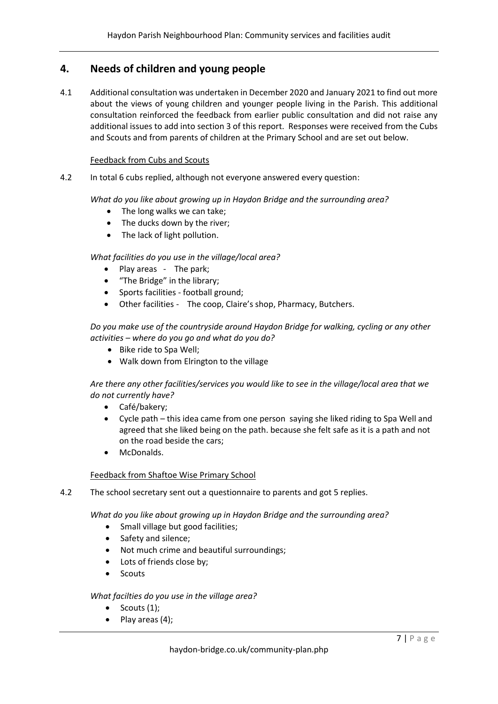## **4. Needs of children and young people**

4.1 Additional consultation was undertaken in December 2020 and January 2021 to find out more about the views of young children and younger people living in the Parish. This additional consultation reinforced the feedback from earlier public consultation and did not raise any additional issues to add into section 3 of this report. Responses were received from the Cubs and Scouts and from parents of children at the Primary School and are set out below.

### Feedback from Cubs and Scouts

4.2 In total 6 cubs replied, although not everyone answered every question:

*What do you like about growing up in Haydon Bridge and the surrounding area?*

- The long walks we can take;
- The ducks down by the river;
- The lack of light pollution.

## *What facilities do you use in the village/local area?*

- Play areas The park;
- "The Bridge" in the library;
- Sports facilities football ground;
- Other facilities The coop, Claire's shop, Pharmacy, Butchers.

*Do you make use of the countryside around Haydon Bridge for walking, cycling or any other activities – where do you go and what do you do?*

- Bike ride to Spa Well;
- Walk down from Elrington to the village

*Are there any other facilities/services you would like to see in the village/local area that we do not currently have?*

- Café/bakery;
- Cycle path this idea came from one person saying she liked riding to Spa Well and agreed that she liked being on the path. because she felt safe as it is a path and not on the road beside the cars;
- McDonalds.

### Feedback from Shaftoe Wise Primary School

4.2 The school secretary sent out a questionnaire to parents and got 5 replies.

*What do you like about growing up in Haydon Bridge and the surrounding area?*

- Small village but good facilities;
- Safety and silence;
- Not much crime and beautiful surroundings;
- Lots of friends close by;
- Scouts

### *What facilties do you use in the village area?*

- $\bullet$  Scouts (1);
- Play areas (4);